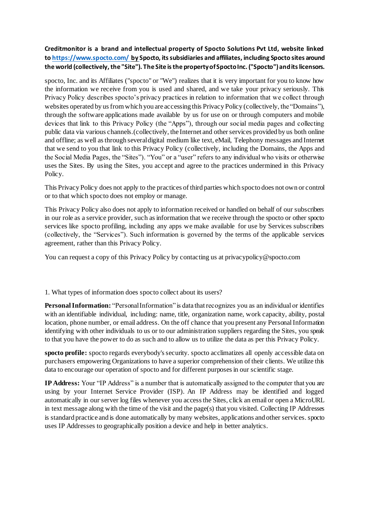# **Creditmonitor is a brand and intellectual property of Spocto Solutions Pvt Ltd, website linked to <https://www.spocto.com/> by Spocto, its subsidiaries and affiliates, including Spocto sites around the world (collectively, the "Site"). The Site is the property of Spocto Inc. ("Spocto") and its licensors.**

spocto, Inc. and its Affiliates ("spocto" or "We") realizes that it is very important for you to know how the information we receive from you is used and shared, and we take your privacy seriously. This Privacy Policy describes spocto's privacy practices in relation to information that we collect through websites operated by us from which you are accessing this Privacy Policy (collectively, the "Domains"), through the software applications made available by us for use on or through computers and mobile devices that link to this Privacy Policy (the "Apps"), through our social media pages and collecting public data via various channels.(collectively, the Internet and other services provided by us both online and offline; as well as through several digital medium like text, eMail, Telephony messages and Internet that we send to you that link to this Privacy Policy (collectively, including the Domains, the Apps and the Social Media Pages, the "Sites"). "You" or a "user" refers to any individual who visits or otherwise uses the Sites. By using the Sites, you accept and agree to the practices undermined in this Privacy Policy.

This Privacy Policy does not apply to the practices of third parties which spocto does not own or control or to that which spocto does not employ or manage.

This Privacy Policy also does not apply to information received or handled on behalf of our subscribers in our role as a service provider, such as information that we receive through the spocto or other spocto services like spocto profiling, including any apps we make available for use by Services subscribers (collectively, the "Services"). Such information is governed by the terms of the applicable services agreement, rather than this Privacy Policy.

You can request a copy of this Privacy Policy by contacting us at privacy policy@spocto.com

#### 1. What types of information does spocto collect about its users?

**Personal Information:** "Personal Information" is data that recognizes you as an individual or identifies with an identifiable individual, including: name, title, organization name, work capacity, ability, postal location, phone number, or email address. On the off chance that you present any Personal Information identifying with other individuals to us or to our administration suppliers regarding the Sites, you speak to that you have the power to do as such and to allow us to utilize the data as per this Privacy Policy.

**spocto profile:** spocto regards everybody's security. spocto acclimatizes all openly accessible data on purchasers empowering Organizations to have a superior comprehension of their clients. We utilize this data to encourage our operation of spocto and for different purposes in our scientific stage.

**IP Address:** Your "IP Address" is a number that is automatically assigned to the computer that you are using by your Internet Service Provider (ISP). An IP Address may be identified and logged automatically in our server log files whenever you access the Sites, click an email or open a MicroURL in text message along with the time of the visit and the page(s) that you visited. Collecting IP Addresses is standard practice and is done automatically by many websites, applications and other services. spocto uses IP Addresses to geographically position a device and help in better analytics.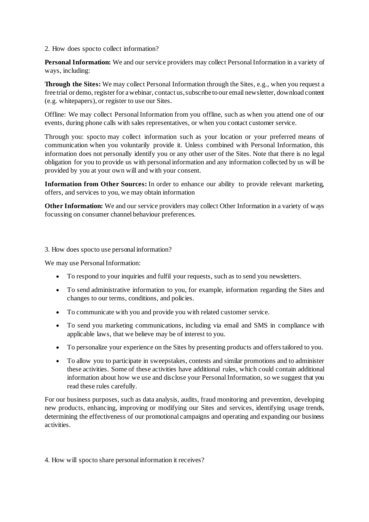2. How does spocto collect information?

**Personal Information:** We and our service providers may collect Personal Information in a variety of ways, including:

**Through the Sites:** We may collect Personal Information through the Sites, e.g., when you request a free trial or demo, register for a webinar, contact us, subscribe to our email newsletter, download content (e.g. whitepapers), or register to use our Sites.

Offline: We may collect Personal Information from you offline, such as when you attend one of our events, during phone calls with sales representatives, or when you contact customer service.

Through you: spocto may collect information such as your location or your preferred means of communication when you voluntarily provide it. Unless combined with Personal Information, this information does not personally identify you or any other user of the Sites. Note that there is no legal obligation for you to provide us with personal information and any information collected by us will be provided by you at your own will and with your consent.

**Information from Other Sources:** In order to enhance our ability to provide relevant marketing, offers, and services to you, we may obtain information

**Other Information:** We and our service providers may collect Other Information in a variety of ways focussing on consumer channel behaviour preferences.

3. How does spocto use personal information?

We may use Personal Information:

- To respond to your inquiries and fulfil your requests, such as to send you newsletters.
- To send administrative information to you, for example, information regarding the Sites and changes to our terms, conditions, and policies.
- To communicate with you and provide you with related customer service.
- To send you marketing communications, including via email and SMS in compliance with applicable laws, that we believe may be of interest to you.
- To personalize your experience on the Sites by presenting products and offers tailored to you.
- To allow you to participate in sweepstakes, contests and similar promotions and to administer these activities. Some of these activities have additional rules, which could contain additional information about how we use and disclose your Personal Information, so we suggest that you read these rules carefully.

For our business purposes, such as data analysis, audits, fraud monitoring and prevention, developing new products, enhancing, improving or modifying our Sites and services, identifying usage trends, determining the effectiveness of our promotional campaigns and operating and expanding our business activities.

4. How will spocto share personal information it receives?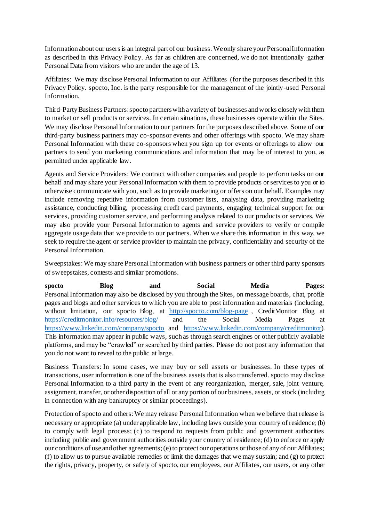Information about our users is an integral part of our business. We only share your Personal Information as described in this Privacy Policy. As far as children are concerned, we do not intentionally gather Personal Data from visitors who are under the age of 13.

Affiliates: We may disclose Personal Information to our Affiliates (for the purposes described in this Privacy Policy. spocto, Inc. is the party responsible for the management of the jointly-used Personal Information.

Third-Party Business Partners: spocto partners with a variety of businesses and works closely with them to market or sell products or services. In certain situations, these businesses operate within the Sites. We may disclose Personal Information to our partners for the purposes described above. Some of our third-party business partners may co-sponsor events and other offerings with spocto. We may share Personal Information with these co-sponsors when you sign up for events or offerings to allow our partners to send you marketing communications and information that may be of interest to you, as permitted under applicable law.

Agents and Service Providers: We contract with other companies and people to perform tasks on our behalf and may share your Personal Information with them to provide products or services to you or to otherwise communicate with you, such as to provide marketing or offers on our behalf. Examples may include removing repetitive information from customer lists, analysing data, providing marketing assistance, conducting billing, processing credit card payments, engaging technical support for our services, providing customer service, and performing analysis related to our products or services. We may also provide your Personal Information to agents and service providers to verify or compile aggregate usage data that we provide to our partners. When we share this information in this way, we seek to require the agent or service provider to maintain the privacy, confidentiality and security of the Personal Information.

Sweepstakes: We may share Personal Information with business partners or other third party sponsors of sweepstakes, contests and similar promotions.

**spocto Blog and Social Media Pages:** Personal Information may also be disclosed by you through the Sites, on message boards, chat, profile pages and blogs and other services to which you are able to post information and materials (including, without limitation, our spocto Blog, at <http://spocto.com/blog-page>, CreditMonitor Blog at <https://creditmonitor.info/resources/blog/> and the Social Media Pages at <https://www.linkedin.com/company/spocto> and [https://www.linkedin.com/company/creditmonitor\)](https://www.linkedin.com/company/creditmonitor). This information may appear in public ways, such as through search engines or other publicly available platforms, and may be "crawled" or searched by third parties. Please do not post any information that you do not want to reveal to the public at large.

Business Transfers: In some cases, we may buy or sell assets or businesses. In these types of transactions, user information is one of the business assets that is also transferred. spocto may disclose Personal Information to a third party in the event of any reorganization, merger, sale, joint venture, assignment, transfer, or other disposition of all or any portion of our business, assets, or stock (including in connection with any bankruptcy or similar proceedings).

Protection of spocto and others: We may release Personal Information when we believe that release is necessary or appropriate (a) under applicable law, including laws outside your country of residence; (b) to comply with legal process; (c) to respond to requests from public and government authorities including public and government authorities outside your country of residence; (d) to enforce or apply our conditions of use and other agreements; (e) to protect our operations or those of any of our Affiliates; (f) to allow us to pursue available remedies or limit the damages that we may sustain; and  $(g)$  to protect the rights, privacy, property, or safety of spocto, our employees, our Affiliates, our users, or any other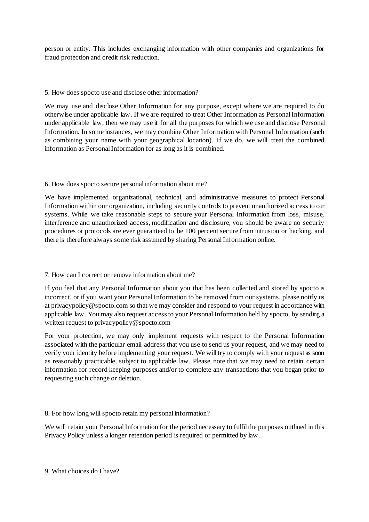person or entity. This includes exchanging information with other companies and organizations for fraud protection and credit risk reduction.

# 5. How does spocto use and disclose other information?

We may use and disclose Other Information for any purpose, except where we are required to do otherwise under applicable law. If we are required to treat Other Information as Personal Information under applicable law, then we may use it for all the purposes for which we use and disclose Personal Information. In some instances, we may combine Other Information with Personal Information (such as combining your name with your geographical location). If we do, we will treat the combined information as Personal Information for as long as it is combined.

# 6. How does spocto secure personal information about me?

We have implemented organizational, technical, and administrative measures to protect Personal Information within our organization, including security controls to prevent unauthorized access to our systems. While we take reasonable steps to secure your Personal Information from loss, misuse, interference and unauthorized access, modification and disclosure, you should be aware no security procedures or protocols are ever guaranteed to be 100 percent secure from intrusion or hacking, and there is therefore always some risk assumed by sharing Personal Information online.

# 7. How can I correct or remove information about me?

If you feel that any Personal Information about you that has been collected and stored by spocto is incorrect, or if you want your Personal Information to be removed from our systems, please notify us at privacypolicy@spocto.com so that we may consider and respond to your request in accordance with applicable law. You may also request access to your Personal Information held by spocto, by sending a written request to privacypolicy@spocto.com

For your protection, we may only implement requests with respect to the Personal Information associated with the particular email address that you use to send us your request, and we may need to verify your identity before implementing your request. We will try to comply with your request as soon as reasonably practicable, subject to applicable law. Please note that we may need to retain certain information for record keeping purposes and/or to complete any transactions that you began prior to requesting such change or deletion.

#### 8. For how long will spocto retain my personal information?

We will retain your Personal Information for the period necessary to fulfil the purposes outlined in this Privacy Policy unless a longer retention period is required or permitted by law.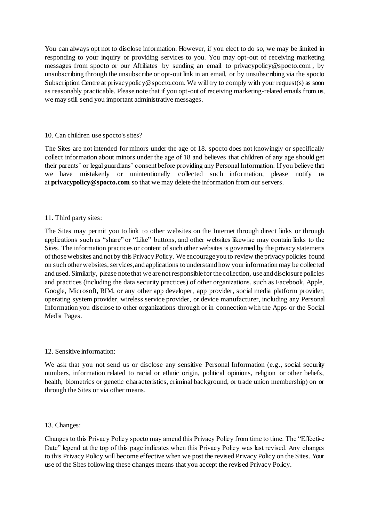You can always opt not to disclose information. However, if you elect to do so, we may be limited in responding to your inquiry or providing services to you. You may opt-out of receiving marketing messages from spocto or our Affiliates by sending an email to privacypolicy@spocto.com , by unsubscribing through the unsubscribe or opt-out link in an email, or by unsubscribing via the spocto Subscription Centre at privacypolicy@spocto.com. We will try to comply with your request(s) as soon as reasonably practicable. Please note that if you opt-out of receiving marketing-related emails from us, we may still send you important administrative messages.

#### 10. Can children use spocto's sites?

The Sites are not intended for minors under the age of 18. spocto does not knowingly or specifically collect information about minors under the age of 18 and believes that children of any age should get their parents' or legal guardians' consent before providing any Personal Information. If you believe that we have mistakenly or unintentionally collected such information, please notify us at **privacypolicy@spocto.com** so that we may delete the information from our servers.

# 11. Third party sites:

The Sites may permit you to link to other websites on the Internet through direct links or through applications such as "share" or "Like" buttons, and other websites likewise may contain links to the Sites. The information practices or content of such other websites is governed by the privacy statements of those websites and not by this Privacy Policy. We encourage you to review the privacy policies found on such other websites, services, and applications to understand how your information may be collected and used. Similarly, please note that we are not responsible for the collection, use and disclosure policies and practices (including the data security practices) of other organizations, such as Facebook, Apple, Google, Microsoft, RIM, or any other app developer, app provider, social media platform provider, operating system provider, wireless service provider, or device manufacturer, including any Personal Information you disclose to other organizations through or in connection with the Apps or the Social Media Pages.

#### 12. Sensitive information:

We ask that you not send us or disclose any sensitive Personal Information (e.g., social security numbers, information related to racial or ethnic origin, political opinions, religion or other beliefs, health, biometrics or genetic characteristics, criminal background, or trade union membership) on or through the Sites or via other means.

#### 13. Changes:

Changes to this Privacy Policy spocto may amend this Privacy Policy from time to time. The "Effective Date" legend at the top of this page indicates when this Privacy Policy was last revised. Any changes to this Privacy Policy will become effective when we post the revised Privacy Policy on the Sites. Your use of the Sites following these changes means that you accept the revised Privacy Policy.